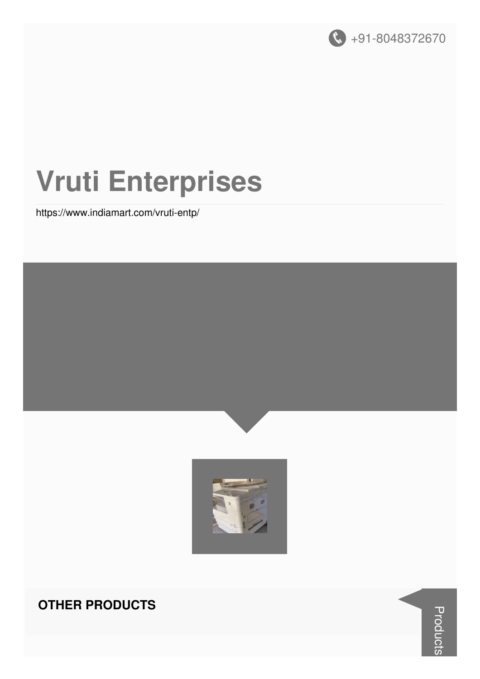

# **Vruti Enterprises**

https://www.indiamart.com/vruti-entp/





#### **OTHER PRODUCTS**

**Products**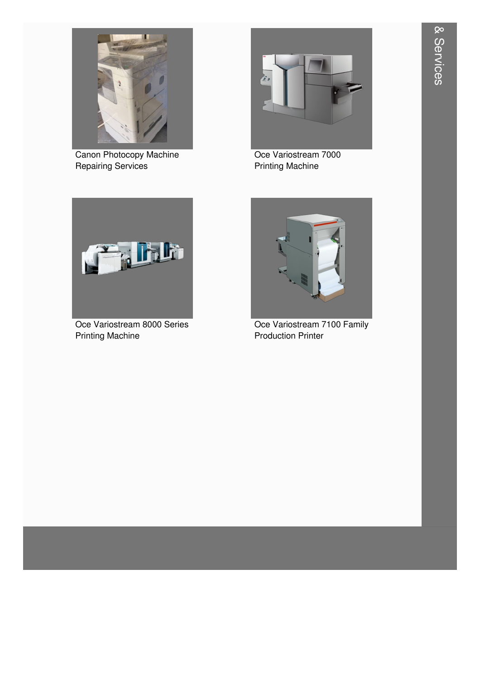

Canon Photocopy Machine Repairing Services



Oce Variostream 7000 Printing Machine



Oce Variostream 8000 Series Printing Machine



Oce Variostream 7100 Family Production Printer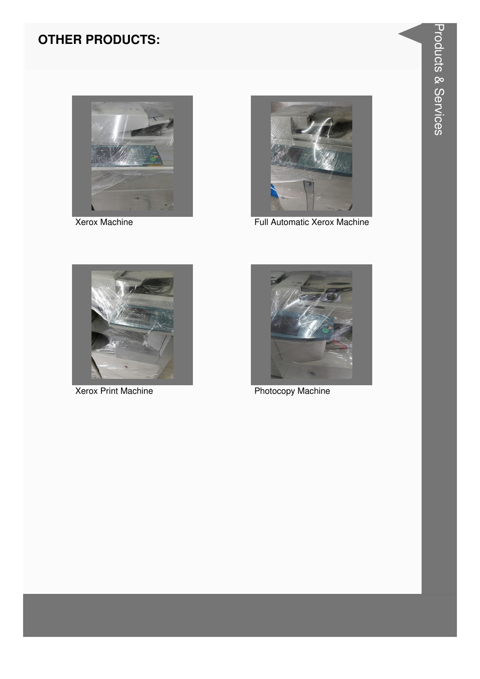

**Xerox Machine** 



Full Automatic Xerox Machine



**Xerox Print Machine** 



**Photocopy Machine**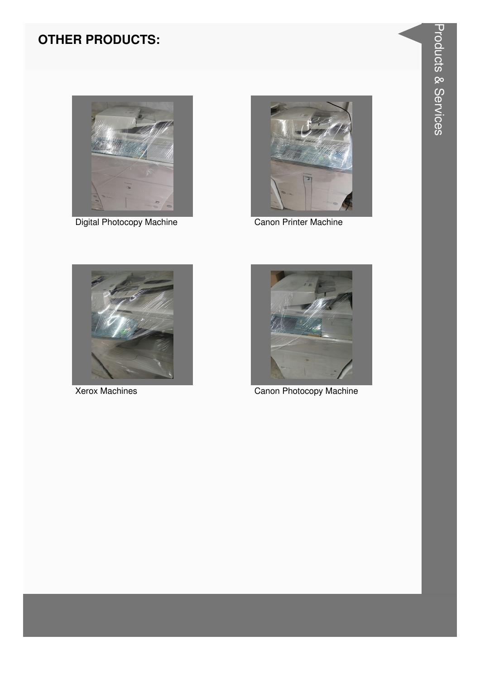

Digital Photocopy Machine **Canon Printer Machine** 







Xerox Machines **Canon Photocopy Machine**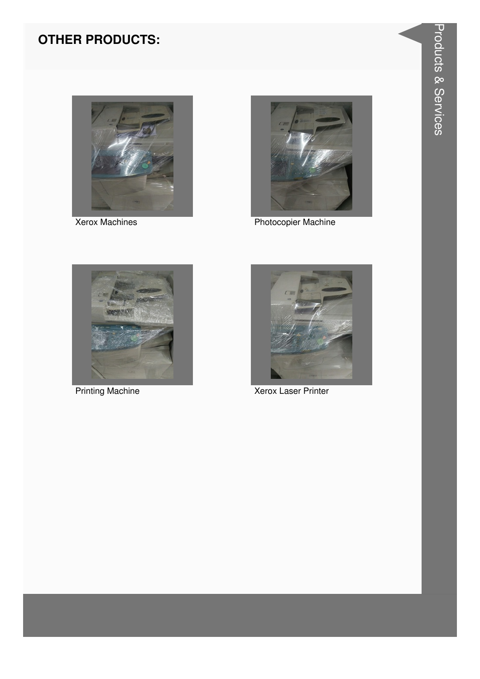

**Xerox Machines** 



**Photocopier Machine** 



**Printing Machine** 



Xerox Laser Printer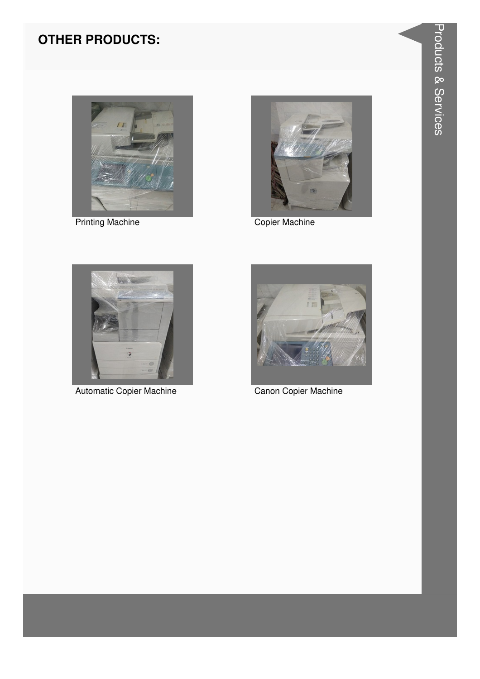

**Printing Machine** 



Copier Machine



Automatic Copier Machine



Canon Copier Machine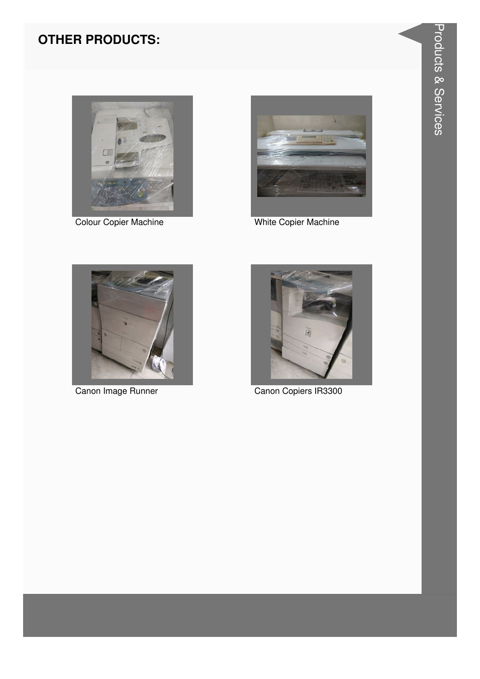

Colour Copier Machine



White Copier Machine



Canon Image Runner



Canon Copiers IR3300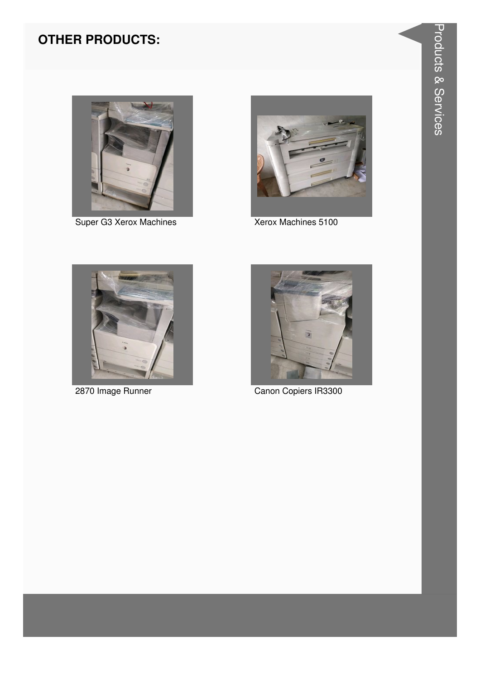

Super G3 Xerox Machines



Xerox Machines 5100



2870 Image Runner



Canon Copiers IR3300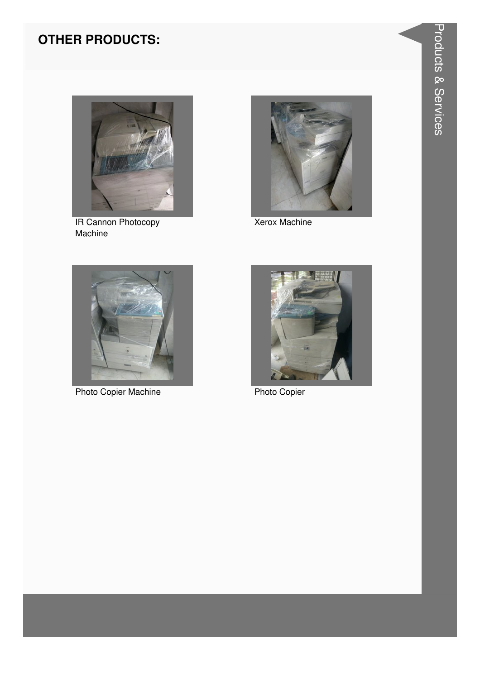

**IR Cannon Photocopy**<br>Machine



**Xerox Machine** 



**Photo Copier Machine** 



**Photo Copier**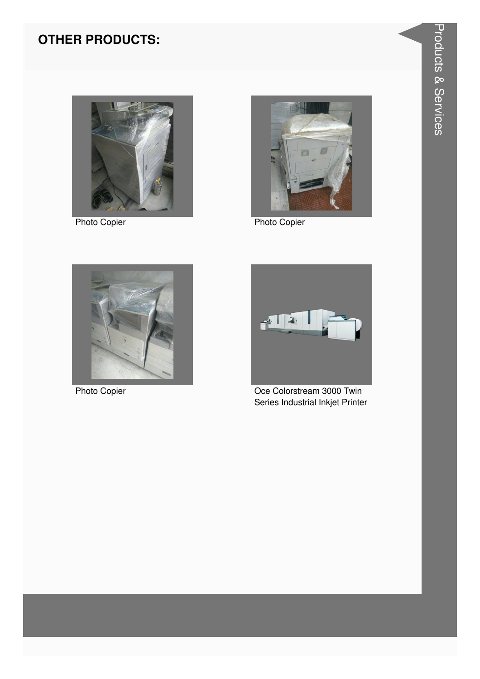

**Photo Copier** 



**Photo Copier** 



**Photo Copier** 



Oce Colorstream 3000 Twin Series Industrial Inkjet Printer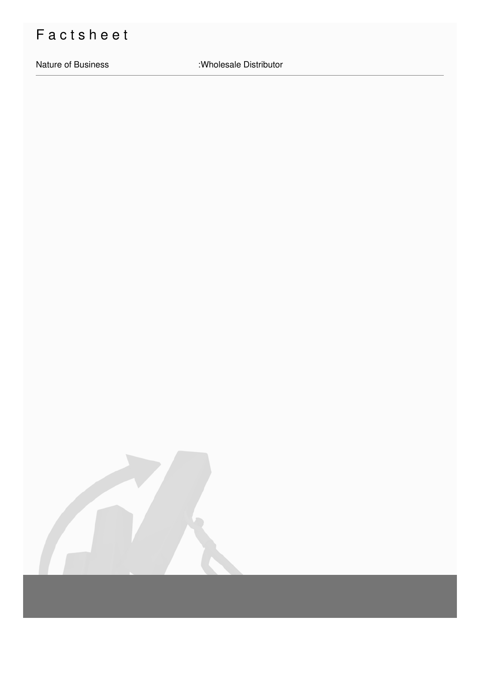# Factsheet

Nature of Business : Wholesale Distributor